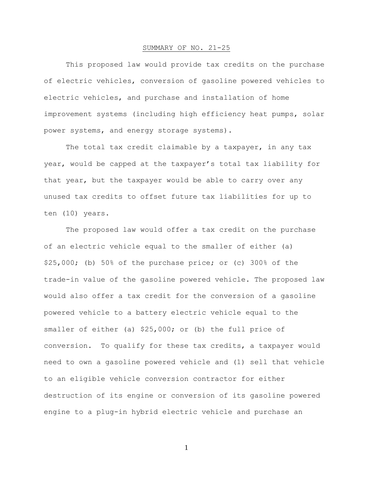## SUMMARY OF NO. 21-25

This proposed law would provide tax credits on the purchase of electric vehicles, conversion of gasoline powered vehicles to electric vehicles, and purchase and installation of home improvement systems (including high efficiency heat pumps, solar power systems, and energy storage systems).

The total tax credit claimable by a taxpayer, in any tax year, would be capped at the taxpayer's total tax liability for that year, but the taxpayer would be able to carry over any unused tax credits to offset future tax liabilities for up to ten (10) years.

The proposed law would offer a tax credit on the purchase of an electric vehicle equal to the smaller of either (a) \$25,000; (b) 50% of the purchase price; or (c) 300% of the trade-in value of the gasoline powered vehicle. The proposed law would also offer a tax credit for the conversion of a gasoline powered vehicle to a battery electric vehicle equal to the smaller of either (a) \$25,000; or (b) the full price of conversion. To qualify for these tax credits, a taxpayer would need to own a gasoline powered vehicle and (1) sell that vehicle to an eligible vehicle conversion contractor for either destruction of its engine or conversion of its gasoline powered engine to a plug-in hybrid electric vehicle and purchase an

1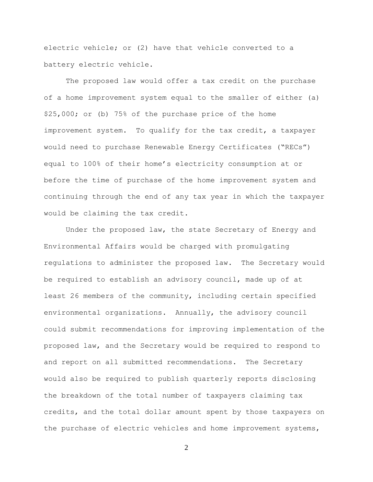electric vehicle; or (2) have that vehicle converted to a battery electric vehicle.

The proposed law would offer a tax credit on the purchase of a home improvement system equal to the smaller of either (a) \$25,000; or (b) 75% of the purchase price of the home improvement system. To qualify for the tax credit, a taxpayer would need to purchase Renewable Energy Certificates ("RECs") equal to 100% of their home's electricity consumption at or before the time of purchase of the home improvement system and continuing through the end of any tax year in which the taxpayer would be claiming the tax credit.

Under the proposed law, the state Secretary of Energy and Environmental Affairs would be charged with promulgating regulations to administer the proposed law. The Secretary would be required to establish an advisory council, made up of at least 26 members of the community, including certain specified environmental organizations. Annually, the advisory council could submit recommendations for improving implementation of the proposed law, and the Secretary would be required to respond to and report on all submitted recommendations. The Secretary would also be required to publish quarterly reports disclosing the breakdown of the total number of taxpayers claiming tax credits, and the total dollar amount spent by those taxpayers on the purchase of electric vehicles and home improvement systems,

2